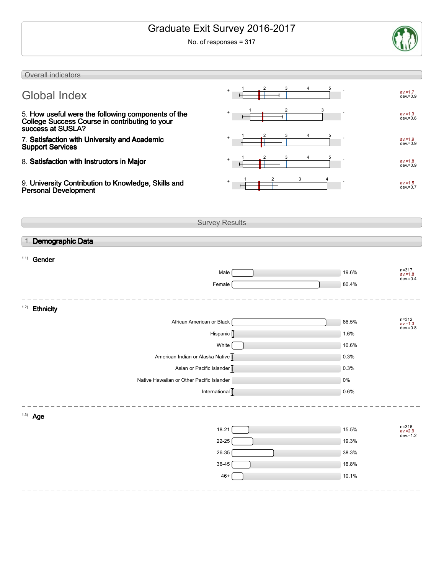# Graduate Exit Survey 2016-2017

No. of responses = 317



| Overall indicators                                                                                                        |                       |                |                                        |
|---------------------------------------------------------------------------------------------------------------------------|-----------------------|----------------|----------------------------------------|
|                                                                                                                           |                       |                |                                        |
| <b>Global Index</b>                                                                                                       |                       |                | $av = 1.7$<br>$dev = 0.9$              |
| 5. How useful were the following components of the<br>College Success Course in contributing to your<br>success at SUSLA? |                       |                | $av = 1.3$<br>$dev = 0.6$              |
| 7. Satisfaction with University and Academic<br><b>Support Services</b>                                                   |                       |                | $av = 1.9$<br>$dev = 0.9$              |
| 8. Satisfaction with Instructors in Major                                                                                 |                       |                | $av = 1.8$<br>$dev = 0.9$              |
| 9. University Contribution to Knowledge, Skills and<br><b>Personal Development</b>                                        |                       |                | $av = 1.5$<br>$dev = 0.7$              |
|                                                                                                                           | <b>Survey Results</b> |                |                                        |
|                                                                                                                           |                       |                |                                        |
| 1. Demographic Data                                                                                                       |                       |                |                                        |
| 1.1)<br>Gender                                                                                                            |                       |                |                                        |
|                                                                                                                           | Male                  | 19.6%          | $n = 317$                              |
|                                                                                                                           | Female                | 80.4%          | $av = 1.8$<br>$dev = 0.4$              |
|                                                                                                                           |                       |                |                                        |
| 1.2)<br><b>Ethnicity</b>                                                                                                  |                       |                |                                        |
| African American or Black                                                                                                 |                       | 86.5%          | $n = 312$<br>$av = 1.3$<br>$dev = 0.8$ |
|                                                                                                                           | Hispanic []           | 1.6%           |                                        |
|                                                                                                                           | White                 | 10.6%          |                                        |
| American Indian or Alaska Native                                                                                          |                       | 0.3%           |                                        |
| Asian or Pacific Islander                                                                                                 |                       | 0.3%           |                                        |
| Native Hawaiian or Other Pacific Islander                                                                                 |                       | 0%             |                                        |
| International $\sqrt{\phantom{a}}$                                                                                        |                       | 0.6%           |                                        |
| $1.3)$ Age                                                                                                                |                       |                |                                        |
|                                                                                                                           |                       |                |                                        |
|                                                                                                                           | $18-21$<br>$22 - 25$  | 15.5%<br>19.3% | n=316<br>av.=2.9<br>dev.=1.2           |
|                                                                                                                           | $26 - 35$             | 38.3%          |                                        |
|                                                                                                                           | $36 - 45$             | 16.8%          |                                        |
|                                                                                                                           | $46+$                 | 10.1%          |                                        |
|                                                                                                                           |                       |                |                                        |
|                                                                                                                           |                       |                |                                        |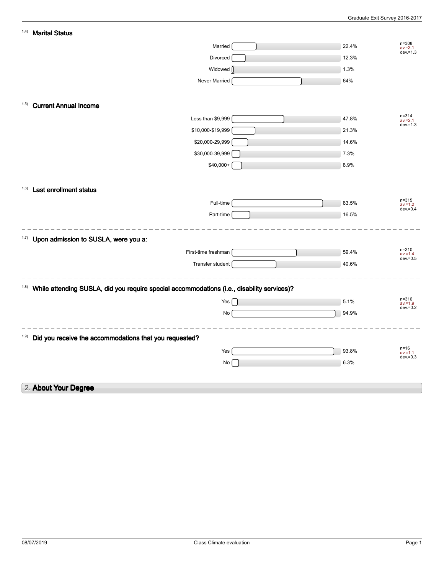| 1.4)<br><b>Marital Status</b>                                                                      |                                                 |
|----------------------------------------------------------------------------------------------------|-------------------------------------------------|
| Married                                                                                            | $n = 308$<br>22.4%<br>$av = 3.1$<br>$dev = 1.3$ |
| Divorced                                                                                           | 12.3%                                           |
| Widowed <sup>[]</sup>                                                                              | 1.3%                                            |
| Never Married                                                                                      | 64%                                             |
| <b>Current Annual Income</b><br>(1.5)                                                              |                                                 |
| Less than \$9,999                                                                                  | $n = 314$<br>47.8%<br>$av = 2.1$<br>dev. = 1.3  |
| \$10,000-\$19,999                                                                                  | 21.3%                                           |
| \$20,000-29,999                                                                                    | 14.6%                                           |
| \$30,000-39,999                                                                                    | 7.3%                                            |
| \$40,000+                                                                                          | 8.9%                                            |
| (1.6)<br><b>Last enrollment status</b>                                                             |                                                 |
| Full-time                                                                                          | $n = 315$<br>83.5%<br>$av = 1.2$                |
| Part-time                                                                                          | $dev = 0.4$<br>16.5%                            |
| 1.7)<br>Upon admission to SUSLA, were you a:                                                       |                                                 |
| First-time freshman                                                                                | $n = 310$<br>59.4%<br>$av = 1.4$                |
| Transfer student                                                                                   | $dev = 0.5$<br>40.6%                            |
| 1.8)<br>While attending SUSLA, did you require special accommodations (i.e., disability services)? |                                                 |
| Yes                                                                                                | $n = 316$<br>5.1%<br>$av = 1.9$                 |
| No                                                                                                 | $dev = 0.2$<br>94.9%                            |
| 1.9)<br>Did you receive the accommodations that you requested?                                     |                                                 |
| Yes                                                                                                | $n = 16$<br>93.8%<br>$av = 1.1$                 |
| No                                                                                                 | $dev = 0.3$<br>6.3%                             |
| 2. About Your Degree                                                                               |                                                 |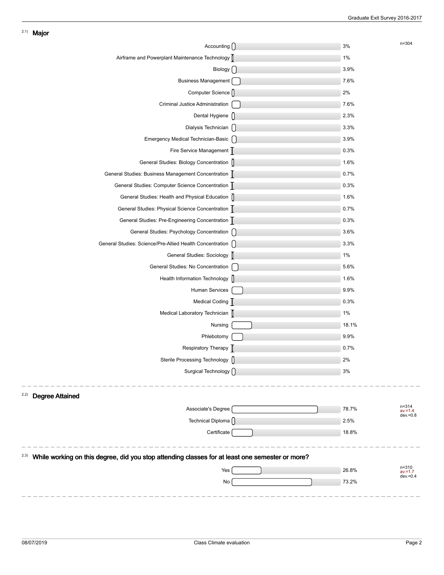| Accounting ()                                                                                            | 3%    | $n = 304$                              |
|----------------------------------------------------------------------------------------------------------|-------|----------------------------------------|
| Airframe and Powerplant Maintenance Technology []                                                        | 1%    |                                        |
| Biology $\bigcap$                                                                                        | 3.9%  |                                        |
| <b>Business Management</b>                                                                               | 7.6%  |                                        |
| Computer Science []                                                                                      | 2%    |                                        |
| Criminal Justice Administration                                                                          | 7.6%  |                                        |
| Dental Hygiene []                                                                                        | 2.3%  |                                        |
| Dialysis Technician []                                                                                   | 3.3%  |                                        |
| Emergency Medical Technician-Basic [                                                                     | 3.9%  |                                        |
| Fire Service Management                                                                                  | 0.3%  |                                        |
| General Studies: Biology Concentration []                                                                | 1.6%  |                                        |
| General Studies: Business Management Concentration                                                       | 0.7%  |                                        |
| General Studies: Computer Science Concentration                                                          | 0.3%  |                                        |
| General Studies: Health and Physical Education []                                                        | 1.6%  |                                        |
| General Studies: Physical Science Concentration                                                          | 0.7%  |                                        |
| General Studies: Pre-Engineering Concentration                                                           | 0.3%  |                                        |
| General Studies: Psychology Concentration [                                                              | 3.6%  |                                        |
| General Studies: Science/Pre-Allied Health Concentration [                                               | 3.3%  |                                        |
| General Studies: Sociology                                                                               | 1%    |                                        |
| General Studies: No Concentration                                                                        | 5.6%  |                                        |
| Health Information Technology ()                                                                         | 1.6%  |                                        |
| Human Services                                                                                           | 9.9%  |                                        |
| Medical Coding                                                                                           | 0.3%  |                                        |
| Medical Laboratory Technician                                                                            | 1%    |                                        |
| Nursing                                                                                                  | 18.1% |                                        |
| Phlebotomy                                                                                               | 9.9%  |                                        |
| Respiratory Therapy                                                                                      | 0.7%  |                                        |
| Sterile Processing Technology []                                                                         | 2%    |                                        |
| Surgical Technology ()                                                                                   | 3%    |                                        |
|                                                                                                          |       |                                        |
| 2.2)<br><b>Degree Attained</b>                                                                           |       |                                        |
| Associate's Degree                                                                                       | 78.7% | $n = 314$<br>$av = 1.4$<br>$dev = 0.8$ |
| Technical Diploma ()                                                                                     | 2.5%  |                                        |
| Certificate                                                                                              | 18.8% |                                        |
|                                                                                                          |       |                                        |
| (2.3)<br>While working on this degree, did you stop attending classes for at least one semester or more? |       |                                        |
| Yes                                                                                                      | 26.8% | $n = 310$<br>$av = 1.7$                |
| No                                                                                                       | 73.2% | $dev = 0.4$                            |
|                                                                                                          |       |                                        |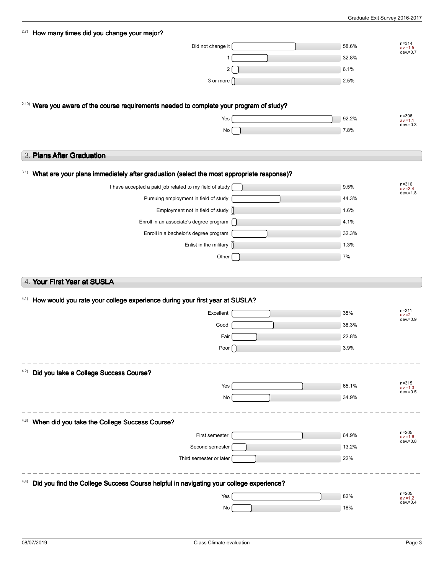| 2.7)<br>How many times did you change your major?                                                    |                        |       |                                        |
|------------------------------------------------------------------------------------------------------|------------------------|-------|----------------------------------------|
|                                                                                                      | Did not change it      | 58.6% | $n = 314$<br>$av = 1.5$                |
|                                                                                                      | 1                      | 32.8% | $dev = 0.7$                            |
|                                                                                                      | $\overline{2}$         | 6.1%  |                                        |
|                                                                                                      | 3 or more $\bigcap$    | 2.5%  |                                        |
| <sup>2.10)</sup> Were you aware of the course requirements needed to complete your program of study? |                        |       |                                        |
|                                                                                                      | Yes                    | 92.2% | $n = 306$<br>$av = 1.1$                |
|                                                                                                      | No                     | 7.8%  | $dev = 0.3$                            |
|                                                                                                      |                        |       |                                        |
| 3. Plans After Graduation                                                                            |                        |       |                                        |
| 3.1)<br>What are your plans immediately after graduation (select the most appropriate response)?     |                        |       |                                        |
| I have accepted a paid job related to my field of study                                              |                        | 9.5%  | $n = 316$<br>$av = 3.4$                |
| Pursuing employment in field of study                                                                |                        | 44.3% | $dev = 1.8$                            |
| Employment not in field of study []                                                                  |                        | 1.6%  |                                        |
| Enroll in an associate's degree program [                                                            |                        | 4.1%  |                                        |
| Enroll in a bachelor's degree program                                                                |                        | 32.3% |                                        |
|                                                                                                      | Enlist in the military | 1.3%  |                                        |
|                                                                                                      | Other                  | 7%    |                                        |
|                                                                                                      |                        |       |                                        |
| 4. Your First Year at SUSLA                                                                          |                        |       |                                        |
| 4.1)<br>How would you rate your college experience during your first year at SUSLA?                  |                        |       |                                        |
|                                                                                                      | Excellent              | 35%   | $n = 311$<br>$av = 2$                  |
|                                                                                                      | Good                   | 38.3% | $dev = 0.9$                            |
|                                                                                                      | Fair                   | 22.8% |                                        |
|                                                                                                      | Poor $[$               | 3.9%  |                                        |
|                                                                                                      |                        |       |                                        |
| Did you take a College Success Course?<br>4.2)                                                       |                        |       |                                        |
|                                                                                                      | Yes                    | 65.1% | $n = 315$<br>$av = 1.3$<br>$dev = 0.5$ |
|                                                                                                      | No                     | 34.9% |                                        |
| When did you take the College Success Course?<br>4.3)                                                |                        |       |                                        |
|                                                                                                      | First semester         | 64.9% | $n = 205$<br>$av = 1.6$                |
|                                                                                                      | Second semester        | 13.2% | $dev = 0.8$                            |
| Third semester or later                                                                              |                        | 22%   |                                        |
| Did you find the College Success Course helpful in navigating your college experience?               |                        |       |                                        |
|                                                                                                      | Yes                    | 82%   | n=205<br>$av = 1.2$                    |
|                                                                                                      | No                     | 18%   | $dev = 0.4$                            |
|                                                                                                      |                        |       |                                        |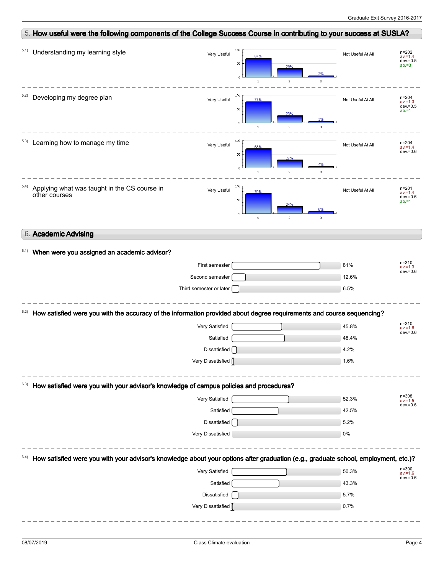| 5. How useful were the following components of the College Success Course in contributing to your success at SUSLA?                 |                                                              |                                                                 |                                                    |
|-------------------------------------------------------------------------------------------------------------------------------------|--------------------------------------------------------------|-----------------------------------------------------------------|----------------------------------------------------|
| Understanding my learning style<br>5.1)                                                                                             | 100<br>Very Useful<br>67%<br>50<br>$\circ$<br>$\mathbf{1}$   | Not Useful At All<br>29%<br>3%<br>$\overline{c}$<br>3           | $n = 202$<br>$av = 1.4$<br>$dev = 0.5$<br>$ab = 3$ |
| 5.2)<br>Developing my degree plan                                                                                                   | 100<br>Very Useful<br>74%<br>50<br>$\bullet$<br>$\mathbf{1}$ | Not Useful At All<br>23%<br>3%<br>$\overline{c}$<br>$\mathbf 3$ | $n = 204$<br>$av = 1.3$<br>$dev = 0.5$<br>$ab = 1$ |
| Learning how to manage my time<br>5.3)                                                                                              | 100<br>Very Useful<br>68%<br>50<br>$\bullet$<br>$\mathbf{1}$ | Not Useful At All<br>27%<br>4%<br>$\overline{c}$<br>$\mathbf 3$ | $n = 204$<br>$av = 1.4$<br>$dev = 0.6$             |
| 5.4)<br>Applying what was taught in the CS course in<br>other courses                                                               | 100<br>Very Useful<br>70%<br>50<br>$\circ$<br>$\,$ 1 $\,$    | Not Useful At All<br>24%<br>$\overline{c}$<br>$\mathcal{B}$     | $n = 201$<br>$av = 1.4$<br>$dev = 0.6$<br>$ab = 1$ |
| 6. Academic Advising                                                                                                                |                                                              |                                                                 |                                                    |
| 6.1)<br>When were you assigned an academic advisor?                                                                                 |                                                              |                                                                 |                                                    |
|                                                                                                                                     | First semester                                               | 81%                                                             | $n = 310$<br>$av = 1.3$                            |
|                                                                                                                                     | Second semester                                              | 12.6%                                                           | $dev = 0.6$                                        |
|                                                                                                                                     | Third semester or later                                      | 6.5%                                                            |                                                    |
| How satisfied were you with the accuracy of the information provided about degree requirements and course sequencing?<br>6.2)       |                                                              |                                                                 |                                                    |
|                                                                                                                                     | Very Satisfied                                               | 45.8%                                                           | $n = 310$<br>$av = 1.6$                            |
|                                                                                                                                     | Satisfied                                                    | 48.4%                                                           | $dev = 0.6$                                        |
|                                                                                                                                     | Dissatisfied                                                 | 4.2%                                                            |                                                    |
|                                                                                                                                     | Very Dissatisfied                                            | 1.6%                                                            |                                                    |
|                                                                                                                                     |                                                              |                                                                 |                                                    |
| How satisfied were you with your advisor's knowledge of campus policies and procedures?<br>6.3)                                     |                                                              |                                                                 |                                                    |
|                                                                                                                                     | Very Satisfied                                               | 52.3%                                                           | $n = 308$<br>$av = 1.5$                            |
|                                                                                                                                     | Satisfied                                                    | 42.5%                                                           |                                                    |
|                                                                                                                                     | Dissatisfied                                                 | 5.2%                                                            | $dev = 0.6$                                        |
|                                                                                                                                     | Very Dissatisfied                                            | $0\%$                                                           |                                                    |
| How satisfied were you with your advisor's knowledge about your options after graduation (e.g., graduate school, employment, etc.)? |                                                              |                                                                 |                                                    |
|                                                                                                                                     | Very Satisfied                                               | 50.3%                                                           | $n = 300$<br>$av = 1.6$                            |
|                                                                                                                                     | Satisfied                                                    | 43.3%                                                           |                                                    |
|                                                                                                                                     | Dissatisfied                                                 | 5.7%                                                            | $dev = 0.6$                                        |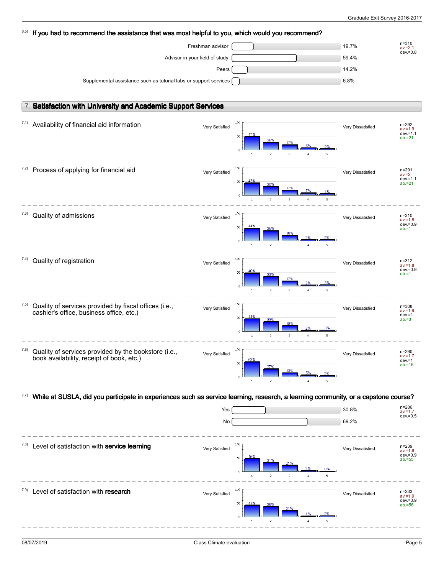| 6.5)  | If you had to recommend the assistance that was most helpful to you, which would you recommend?                                    |                |                                                                  |                   |                                    |
|-------|------------------------------------------------------------------------------------------------------------------------------------|----------------|------------------------------------------------------------------|-------------------|------------------------------------|
|       | Freshman advisor                                                                                                                   |                |                                                                  | 19.7%             | $n = 310$<br>$av = 2.1$            |
|       | Advisor in your field of study                                                                                                     |                |                                                                  | 59.4%             | $dev = 0.8$                        |
|       |                                                                                                                                    | Peers          |                                                                  | 14.2%             |                                    |
|       | Supplemental assistance such as tutorial labs or support services                                                                  |                |                                                                  | 6.8%              |                                    |
|       |                                                                                                                                    |                |                                                                  |                   |                                    |
|       | 7. Satisfaction with University and Academic Support Services                                                                      |                |                                                                  |                   |                                    |
|       |                                                                                                                                    |                |                                                                  |                   |                                    |
| 7.1)  | Availability of financial aid information                                                                                          | Very Satisfied | 100                                                              | Very Dissatisfied | n=292<br>$av = 1.9$                |
|       |                                                                                                                                    |                | 50                                                               |                   | $dev = 1.1$<br>$ab = 21$           |
|       |                                                                                                                                    |                |                                                                  |                   |                                    |
|       |                                                                                                                                    |                | $\mathbf{1}$<br>$\mathbf 2$<br>3<br>$\overline{4}$               | 5                 |                                    |
| (2)   | Process of applying for financial aid                                                                                              | Very Satisfied | 100                                                              | Very Dissatisfied | n=291<br>$av = 2$                  |
|       |                                                                                                                                    |                | 43%<br>50<br>30%                                                 |                   | $dev = 1.1$<br>$ab = 21$           |
|       |                                                                                                                                    |                | 179<br>$\ddot{\rm{o}}$<br>$\mathbf{1}$<br>$\overline{2}$<br>3    |                   |                                    |
|       |                                                                                                                                    |                |                                                                  |                   |                                    |
| 7.3)  | Quality of admissions                                                                                                              | Very Satisfied | 100                                                              | Very Dissatisfied | $n = 310$<br>$av = 1.8$            |
|       |                                                                                                                                    |                | 50<br>18%                                                        |                   | $dev = 0.9$<br>$ab = 1$            |
|       |                                                                                                                                    |                | $\triangle$<br>$\mathbf{1}$<br>$\overline{\mathbf{c}}$<br>3      | 5                 |                                    |
|       |                                                                                                                                    |                |                                                                  |                   |                                    |
| 7.4)  | Quality of registration                                                                                                            | Very Satisfied | 100                                                              | Very Dissatisfied | n=312<br>$av = 1.8$                |
|       |                                                                                                                                    |                | 50<br>33%<br>17%                                                 |                   | $dev = 0.9$<br>$ab = 1$            |
|       |                                                                                                                                    |                | $\,$ 1<br>3                                                      | 5                 |                                    |
|       |                                                                                                                                    |                | $\mathbf 2$                                                      |                   |                                    |
| 7.5)  | Quality of services provided by fiscal offices (i.e.,<br>cashier's office, business office, etc.)                                  | Very Satisfied | 100                                                              | Very Dissatisfied | $n = 308$<br>$av = 1.9$            |
|       |                                                                                                                                    |                | 50<br>33%<br>19%                                                 |                   | $dev = 1$<br>$ab = 3$              |
|       |                                                                                                                                    |                | $\ddot{\text{o}}$<br>$\bar{z}$<br>3<br>$\mathbf 1$<br>$\ddot{a}$ | 5 <sub>1</sub>    |                                    |
|       |                                                                                                                                    |                |                                                                  |                   |                                    |
| 7.6)  | Quality of services provided by the bookstore (i.e.,<br>book availability, receipt of book, etc.)                                  | Very Satisfied | 100                                                              | Very Dissatisfied | n=290<br>$av = 1.7$                |
|       |                                                                                                                                    |                | 53%<br>50<br>13%                                                 |                   | $dev = 1$<br>$ab = 16$             |
|       |                                                                                                                                    |                | $\overline{\mathbf{c}}$<br>3<br>1                                |                   |                                    |
|       |                                                                                                                                    |                |                                                                  |                   |                                    |
| 7.7)  | While at SUSLA, did you participate in experiences such as service learning, research, a learning community, or a capstone course? |                |                                                                  |                   |                                    |
|       |                                                                                                                                    | Yes            |                                                                  | 30.8%             | n=286<br>$av = 1.7$<br>$dev = 0.5$ |
|       |                                                                                                                                    | No             |                                                                  | 69.2%             |                                    |
|       |                                                                                                                                    |                |                                                                  |                   |                                    |
| (7.8) | Level of satisfaction with service learning                                                                                        | Very Satisfied | 100                                                              | Very Dissatisfied | n=239<br>$av = 1.8$                |
|       |                                                                                                                                    |                | 50                                                               |                   | $dev = 0.9$<br>$ab = 55$           |
|       |                                                                                                                                    |                |                                                                  |                   |                                    |
|       |                                                                                                                                    |                | $\overline{\phantom{a}}$<br>1<br>з                               |                   |                                    |
| 7.9)  | Level of satisfaction with research                                                                                                | Very Satisfied | 100                                                              | Very Dissatisfied | $n = 233$<br>$av = 1.9$            |
|       |                                                                                                                                    |                | 50                                                               |                   | $dev = 0.9$<br>$ab = 56$           |
|       |                                                                                                                                    |                | 21%                                                              |                   |                                    |
|       |                                                                                                                                    |                | $\overline{c}$<br>$\mathbf{1}$<br>3                              |                   |                                    |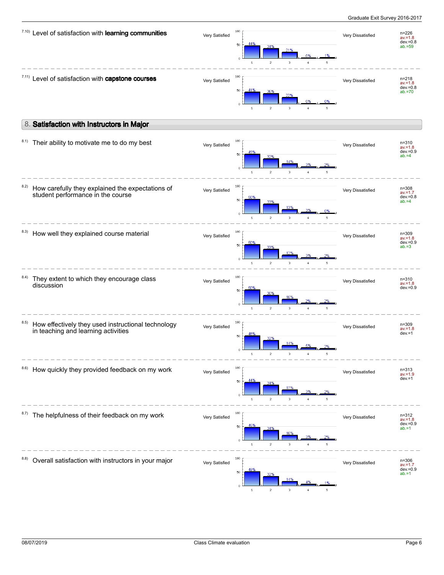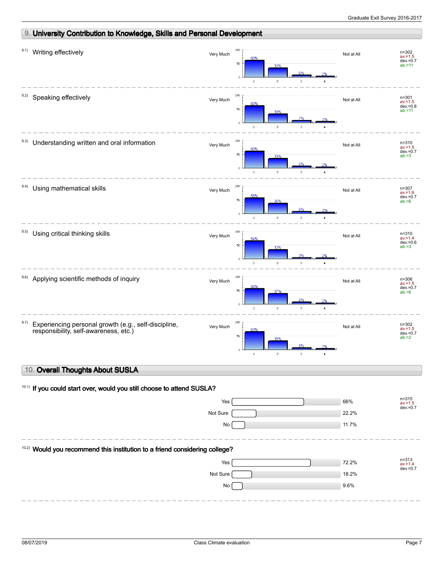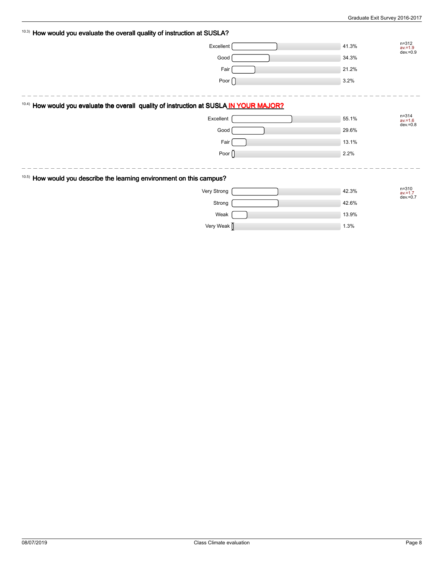| 10.3) How would you evaluate the overall quality of instruction at SUSLA?                          |                |       |                                       |
|----------------------------------------------------------------------------------------------------|----------------|-------|---------------------------------------|
|                                                                                                    | Excellent      | 41.3% | $n = 312$<br>$av = 1.9$<br>dev. = 0.9 |
|                                                                                                    | Good           | 34.3% |                                       |
|                                                                                                    | Fair           | 21.2% |                                       |
|                                                                                                    | Poor $\bigcap$ | 3.2%  |                                       |
|                                                                                                    |                |       |                                       |
| <sup>10.4)</sup> How would you evaluate the overall quality of instruction at SUSLA IN YOUR MAJOR? |                |       |                                       |
|                                                                                                    | Excellent      | 55.1% | $n = 314$<br>$av = 1.6$<br>dev. = 0.8 |
|                                                                                                    | Good           | 29.6% |                                       |
|                                                                                                    | Fair           | 13.1% |                                       |
|                                                                                                    | Poor $\bigcap$ | 2.2%  |                                       |
|                                                                                                    |                |       |                                       |
| 10.5) How would you describe the learning environment on this campus?                              |                |       |                                       |
|                                                                                                    | Very Strong    | 42.3% | $n = 310$<br>$av = 1.7$               |
|                                                                                                    | Strong         | 42.6% | $dev = 0.7$                           |
|                                                                                                    | Weak           | 13.9% |                                       |
|                                                                                                    | Very Weak      | 1.3%  |                                       |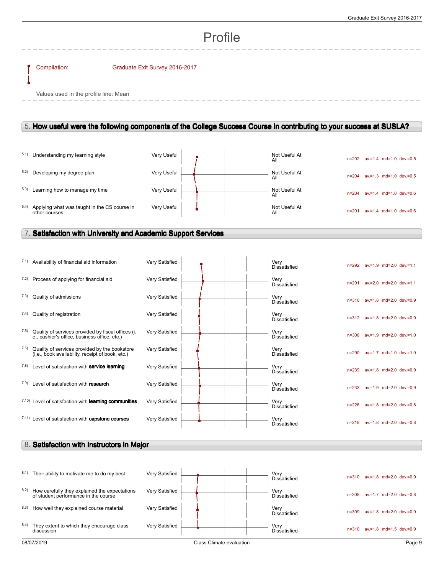# Profile

#### Compilation: Graduate Exit Survey 2016-2017

Values used in the profile line: Mean

### 5. **How useful were the following components of the College Success Course in contributing to your success at SUSLA?**

|      | 5.1) Understanding my learning style                          | Very Useful |  | Not Useful At<br>All | $n = 202$ | av.=1.4 md=1.0 dev.=0.5         |
|------|---------------------------------------------------------------|-------------|--|----------------------|-----------|---------------------------------|
|      | 5.2) Developing my degree plan                                | Very Useful |  | Not Useful At<br>All | $n = 204$ | $av = 1.3$ md=1.0 dev $v = 0.5$ |
| 5.3) | Learning how to manage my time                                | Very Useful |  | Not Useful At<br>All | $n = 204$ | $av = 1.4$ md=1.0 dev=0.6       |
| 5.4) | Applying what was taught in the CS course in<br>other courses | Very Useful |  | Not Useful At<br>All | n=201     | $av = 1.4$ md=1.0 dev $v = 0.6$ |

### 7. **Satisfaction with University and Academic Support Services**

|      | 7.1) Availability of financial aid information                                                     | Very Satisfied |  | Very<br><b>Dissatisfied</b> |           | n=292 av.=1.9 md=2.0 dev.=1.1 |                         |
|------|----------------------------------------------------------------------------------------------------|----------------|--|-----------------------------|-----------|-------------------------------|-------------------------|
| 7.2) | Process of applying for financial aid                                                              | Very Satisfied |  | Very<br><b>Dissatisfied</b> | $n = 291$ | av.=2.0 md=2.0 dev.=1.1       |                         |
| 7.3) | Quality of admissions                                                                              | Very Satisfied |  | Verv<br><b>Dissatisfied</b> | $n = 310$ |                               | av.=1.8 md=2.0 dev.=0.9 |
| 7.4) | Quality of registration                                                                            | Very Satisfied |  | Very<br><b>Dissatisfied</b> |           | n=312 av.=1.8 md=2.0 dev.=0.9 |                         |
| 7.5) | Quality of services provided by fiscal offices (i.<br>e., cashier's office, business office, etc.) | Very Satisfied |  | Verv<br><b>Dissatisfied</b> | $n = 308$ | av.=1.9 md=2.0 dev.=1.0       |                         |
| 7.6) | Quality of services provided by the bookstore<br>(i.e., book availability, receipt of book, etc.)  | Very Satisfied |  | Verv<br><b>Dissatisfied</b> | $n = 290$ | av.=1.7 md=1.0 dev.=1.0       |                         |
| 7.8) | Level of satisfaction with service learning                                                        | Very Satisfied |  | Verv<br><b>Dissatisfied</b> | $n = 239$ |                               | av.=1.8 md=2.0 dev.=0.9 |
| 7.9) | Level of satisfaction with research                                                                | Very Satisfied |  | Very<br><b>Dissatisfied</b> | $n = 233$ | av.=1.9 md=2.0 dev.=0.9       |                         |
|      | 7.10) Level of satisfaction with learning communities                                              | Very Satisfied |  | Verv<br><b>Dissatisfied</b> | $n = 226$ |                               | av.=1.8 md=2.0 dev.=0.8 |
|      | 7.11) Level of satisfaction with <b>capstone courses</b>                                           | Very Satisfied |  | Very<br><b>Dissatisfied</b> | $n = 218$ | av.=1.8 md=2.0 dev.=0.8       |                         |

### 8. **Satisfaction with Instructors in Major**

| 8.1) | Their ability to motivate me to do my best                                            | Very Satisfied |                          | Very<br>$n = 310$<br><b>Dissatisfied</b> | $av = 1.8$ md=2.0 dev=0.9 |
|------|---------------------------------------------------------------------------------------|----------------|--------------------------|------------------------------------------|---------------------------|
| 8.2) | How carefully they explained the expectations<br>of student performance in the course | Very Satisfied |                          | Very<br>n=308<br><b>Dissatisfied</b>     | $av = 1.7$ md=2.0 dev=0.8 |
| 8.3) | How well they explained course material                                               | Very Satisfied |                          | Very<br>n=309<br><b>Dissatisfied</b>     | $av = 1.8$ md=2.0 dev=0.9 |
| 8.4) | They extent to which they encourage class<br>discussion                               | Very Satisfied |                          | Very<br>$n = 310$<br><b>Dissatisfied</b> | $av = 1.8$ md=1.5 dev=0.9 |
|      | 08/07/2019                                                                            |                | Class Climate evaluation |                                          | Page 9                    |